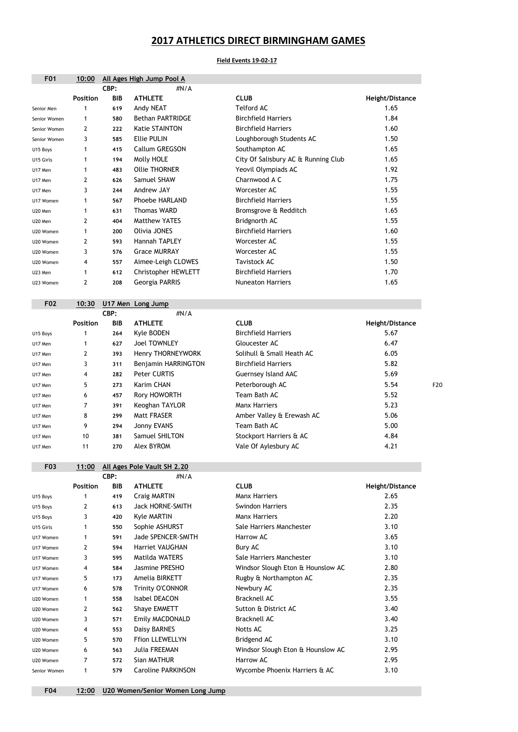| <b>F01</b>   | 10:00           |            | All Ages High Jump Pool A   |                                     |                 |
|--------------|-----------------|------------|-----------------------------|-------------------------------------|-----------------|
|              |                 | CBP:       | #N/A                        |                                     |                 |
|              | <b>Position</b> | <b>BIB</b> | <b>ATHLETE</b>              | <b>CLUB</b>                         | Height/Distance |
| Senior Men   |                 | 619        | Andy NEAT                   | <b>Telford AC</b>                   | 1.65            |
| Senior Women | 1               | 580        | <b>Bethan PARTRIDGE</b>     | <b>Birchfield Harriers</b>          | 1.84            |
| Senior Women | $\mathbf{2}$    | 222        | <b>Katie STAINTON</b>       | <b>Birchfield Harriers</b>          | 1.60            |
| Senior Women | 3               | 585        | <b>Ellie PULIN</b>          | Loughborough Students AC            | 1.50            |
| U15 Boys     | 1               | 415        | Callum GREGSON              | Southampton AC                      | 1.65            |
| U15 Girls    | 1               | 194        | Molly HOLE                  | City Of Salisbury AC & Running Club | 1.65            |
| U17 Men      | 1               | 483        | <b>Ollie THORNER</b>        | Yeovil Olympiads AC                 | 1.92            |
| U17 Men      | $\mathbf{2}$    | 626        | Samuel SHAW                 | Charnwood A C                       | 1.75            |
| U17 Men      | 3               | 244        | Andrew JAY                  | Worcester AC                        | 1.55            |
| U17 Women    | 1               | 567        | <b>Phoebe HARLAND</b>       | <b>Birchfield Harriers</b>          | 1.55            |
| U20 Men      |                 | 631        | <b>Thomas WARD</b>          | Bromsgrove & Redditch               | 1.65            |
| U20 Men      | $\overline{2}$  | 404        | <b>Matthew YATES</b>        | Bridgnorth AC                       | 1.55            |
| U20 Women    | 1               | 200        | Olivia JONES                | <b>Birchfield Harriers</b>          | 1.60            |
| U20 Women    | $\mathbf{2}$    | 593        | Hannah TAPLEY               | Worcester AC                        | 1.55            |
| U20 Women    | 3               | 576        | <b>Grace MURRAY</b>         | Worcester AC                        | 1.55            |
| U20 Women    | 4               | 557        | Aimee-Leigh CLOWES          | <b>Tavistock AC</b>                 | 1.50            |
| U23 Men      | 1               | 612        | <b>Christopher HEWLETT</b>  | <b>Birchfield Harriers</b>          | 1.70            |
| U23 Women    | $\mathbf{2}$    | 208        | Georgia PARRIS              | <b>Nuneaton Harriers</b>            | 1.65            |
|              |                 |            |                             |                                     |                 |
| <b>F02</b>   | 10:30           |            | U17 Men Long Jump           |                                     |                 |
|              |                 | CBP:       | #N/A                        |                                     |                 |
|              | <b>Position</b> | <b>BIB</b> | <b>ATHLETE</b>              | <b>CLUB</b>                         | Height/Distance |
| U15 Boys     |                 | 264        | Kyle BODEN                  | <b>Birchfield Harriers</b>          | 5.67            |
| U17 Men      | 1               | 627        | <b>Joel TOWNLEY</b>         | Gloucester AC                       | 6.47            |
| U17 Men      | $\mathbf{2}$    | 393        | Henry THORNEYWORK           | Solihull & Small Heath AC           | 6.05            |
| U17 Men      | 3               | 311        | Benjamin HARRINGTON         | <b>Birchfield Harriers</b>          | 5.82            |
| U17 Men      | 4               | 282        | Peter CURTIS                | <b>Guernsey Island AAC</b>          | 5.69            |
| U17 Men      | 5               | 273        | Karim CHAN                  | Peterborough AC                     | 5.54            |
| U17 Men      | 6               | 457        | Rory HOWORTH                | Team Bath AC                        | 5.52            |
| U17 Men      | 7               | 391        | Keoghan TAYLOR              | <b>Manx Harriers</b>                | 5.23            |
| U17 Men      | 8               | 299        | Matt FRASER                 | Amber Valley & Erewash AC           | 5.06            |
| U17 Men      | 9               | 294        | Jonny EVANS                 | Team Bath AC                        | 5.00            |
| U17 Men      | 10              | 381        | Samuel SHILTON              | Stockport Harriers & AC             | 4.84            |
| U17 Men      | 11              | 270        | Alex BYROM                  | Vale Of Aylesbury AC                | 4.21            |
|              |                 |            |                             |                                     |                 |
| F03          | 11:00           |            | All Ages Pole Vault SH 2.20 |                                     |                 |
|              |                 | CBP:       | #N/A                        |                                     |                 |
|              | <b>Position</b> | <b>BIB</b> | <b>ATHLETE</b>              | <b>CLUB</b>                         | Height/Distance |
| U15 Boys     | 1               | 419        | <b>Craig MARTIN</b>         | <b>Manx Harriers</b>                | 2.65            |
| U15 Boys     | $\mathbf{2}$    | 613        | <b>Jack HORNE-SMITH</b>     | <b>Swindon Harriers</b>             | 2.35            |
| U15 Boys     | 3               | 420        | <b>Kyle MARTIN</b>          | <b>Manx Harriers</b>                | 2.20            |

| U17 Women    | 3              | 595 | Matilda WATERS            | Sale Harriers Manchester          | 3.10 |
|--------------|----------------|-----|---------------------------|-----------------------------------|------|
| U17 Women    | 4              | 584 | <b>Jasmine PRESHO</b>     | Windsor Slough Eton & Hounslow AC | 2.80 |
| U17 Women    | 5              | 173 | Amelia BIRKETT            | Rugby & Northampton AC            | 2.35 |
| U17 Women    | 6              | 578 | <b>Trinity O'CONNOR</b>   | Newbury AC                        | 2.35 |
| U20 Women    | 1              | 558 | Isabel DEACON             | <b>Bracknell AC</b>               | 3.55 |
| U20 Women    | 2              | 562 | Shaye EMMETT              | Sutton & District AC              | 3.40 |
| U20 Women    | 3              | 571 | Emily MACDONALD           | <b>Bracknell AC</b>               | 3.40 |
| U20 Women    | 4              | 553 | Daisy BARNES              | Notts AC                          | 3.25 |
| U20 Women    | 5 <sup>5</sup> | 570 | <b>Ffion LLEWELLYN</b>    | Bridgend AC                       | 3.10 |
| U20 Women    | 6              | 563 | <b>Julia FREEMAN</b>      | Windsor Slough Eton & Hounslow AC | 2.95 |
| U20 Women    |                | 572 | Sian MATHUR               | Harrow AC                         | 2.95 |
| Senior Women |                | 579 | <b>Caroline PARKINSON</b> | Wycombe Phoenix Harriers & AC     | 3.10 |
|              |                |     |                           |                                   |      |

U15 Girls 1 550 Sophie ASHURST Sale Harriers Manchester 3.10 U17 Women 1 591 Jade SPENCER-SMITH Harrow AC 3.65 U17 Women 2 594 Harriet VAUGHAN Bury AC 3.10

## F04 12:00 U20 Women/Senior Women Long Jump

## 2017 ATHLETICS DIRECT BIRMINGHAM GAMES

## Field Events 19-02-17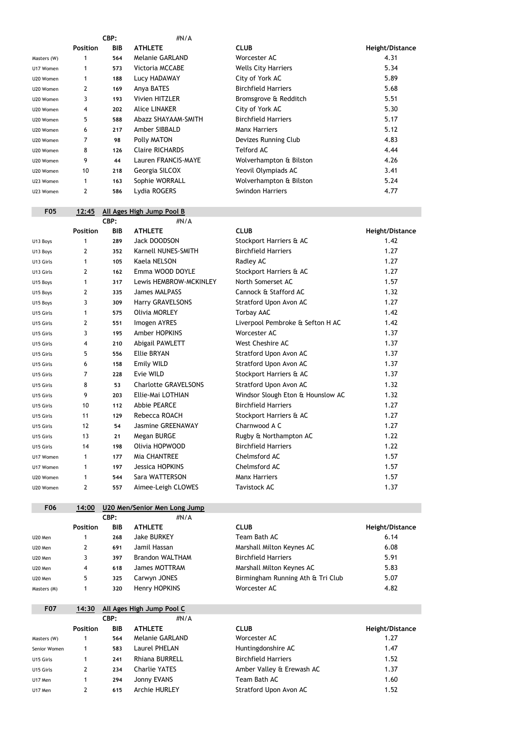|             |                 | CBP:       | $\#N/A$                |                            |                 |
|-------------|-----------------|------------|------------------------|----------------------------|-----------------|
|             | <b>Position</b> | <b>BIB</b> | <b>ATHLETE</b>         | <b>CLUB</b>                | Height/Distance |
| Masters (W) |                 | 564        | <b>Melanie GARLAND</b> | Worcester AC               | 4.31            |
| U17 Women   | 1               | 573        | <b>Victoria MCCABE</b> | <b>Wells City Harriers</b> | 5.34            |
| U20 Women   |                 | 188        | Lucy HADAWAY           | City of York AC            | 5.89            |
| U20 Women   | $\overline{2}$  | 169        | Anya BATES             | <b>Birchfield Harriers</b> | 5.68            |
| U20 Women   | 3               | 193        | <b>Vivien HITZLER</b>  | Bromsgrove & Redditch      | 5.51            |
| U20 Women   | 4               | 202        | <b>Alice LINAKER</b>   | City of York AC            | 5.30            |
| U20 Women   | 5               | 588        | Abazz SHAYAAM-SMITH    | <b>Birchfield Harriers</b> | 5.17            |
| U20 Women   | 6               | 217        | Amber SIBBALD          | <b>Manx Harriers</b>       | 5.12            |
| U20 Women   | 7               | 98         | Polly MATON            | Devizes Running Club       | 4.83            |
| U20 Women   | 8               | 126        | <b>Claire RICHARDS</b> | <b>Telford AC</b>          | 4.44            |
| U20 Women   | 9               | 44         | Lauren FRANCIS-MAYE    | Wolverhampton & Bilston    | 4.26            |
| U20 Women   | 10              | 218        | Georgia SILCOX         | Yeovil Olympiads AC        | 3.41            |
| U23 Women   | 1               | 163        | Sophie WORRALL         | Wolverhampton & Bilston    | 5.24            |
| U23 Women   | 2               | 586        | Lydia ROGERS           | <b>Swindon Harriers</b>    | 4.77            |
|             |                 |            |                        |                            |                 |

## F05  $12:45$  All Ages High Jump Pool B<br>CBP:  $\#N$

|           |                 | CBP:       | #N/A                        |                                   |                 |
|-----------|-----------------|------------|-----------------------------|-----------------------------------|-----------------|
|           | <b>Position</b> | <b>BIB</b> | <b>ATHLETE</b>              | <b>CLUB</b>                       | Height/Distance |
| U13 Boys  | $\mathbf 1$     | 289        | <b>Jack DOODSON</b>         | Stockport Harriers & AC           | 1.42            |
| U13 Boys  | 2               | 352        | Karnell NUNES-SMITH         | <b>Birchfield Harriers</b>        | 1.27            |
| U13 Girls | $\mathbf{1}$    | 105        | <b>Kaela NELSON</b>         | Radley AC                         | 1.27            |
| U13 Girls | 2               | 162        | Emma WOOD DOYLE             | Stockport Harriers & AC           | 1.27            |
| U15 Boys  | 1               | 317        | Lewis HEMBROW-MCKINLEY      | North Somerset AC                 | 1.57            |
| U15 Boys  | 2               | 335        | <b>James MALPASS</b>        | Cannock & Stafford AC             | 1.32            |
| U15 Boys  | 3               | 309        | <b>Harry GRAVELSONS</b>     | Stratford Upon Avon AC            | 1.27            |
| U15 Girls | $\mathbf{1}$    | 575        | <b>Olivia MORLEY</b>        | <b>Torbay AAC</b>                 | 1.42            |
| U15 Girls | 2               | 551        | Imogen AYRES                | Liverpool Pembroke & Sefton H AC  | 1.42            |
| U15 Girls | 3               | 195        | Amber HOPKINS               | Worcester AC                      | 1.37            |
| U15 Girls | 4               | 210        | <b>Abigail PAWLETT</b>      | West Cheshire AC                  | 1.37            |
| U15 Girls | 5               | 556        | <b>Ellie BRYAN</b>          | <b>Stratford Upon Avon AC</b>     | 1.37            |
| U15 Girls | 6               | 158        | <b>Emily WILD</b>           | <b>Stratford Upon Avon AC</b>     | 1.37            |
| U15 Girls | 7               | 228        | Evie WILD                   | Stockport Harriers & AC           | 1.37            |
| U15 Girls | 8               | 53         | <b>Charlotte GRAVELSONS</b> | Stratford Upon Avon AC            | 1.32            |
| U15 Girls | 9               | 203        | Ellie-Mai LOTHIAN           | Windsor Slough Eton & Hounslow AC | 1.32            |
| U15 Girls | 10              | 112        | <b>Abbie PEARCE</b>         | <b>Birchfield Harriers</b>        | 1.27            |
| U15 Girls | 11              | 129        | Rebecca ROACH               | Stockport Harriers & AC           | 1.27            |
| U15 Girls | 12              | 54         | <b>Jasmine GREENAWAY</b>    | Charnwood A C                     | 1.27            |
| U15 Girls | 13              | 21         | Megan BURGE                 | Rugby & Northampton AC            | 1.22            |
| U15 Girls | 14              | 198        | Olivia HOPWOOD              | <b>Birchfield Harriers</b>        | 1.22            |
| U17 Women | $\mathbf 1$     | 177        | Mia CHANTREE                | Chelmsford AC                     | 1.57            |
| U17 Women | $\mathbf 1$     | 197        | Jessica HOPKINS             | Chelmsford AC                     | 1.57            |
| U20 Women | 1               | 544        | Sara WATTERSON              | <b>Manx Harriers</b>              | 1.57            |
| U20 Women | $\mathbf{2}$    | 557        | Aimee-Leigh CLOWES          | <b>Tavistock AC</b>               | 1.37            |

| <b>F06</b> | 14:00           |            | U20 Men/Senior Men Long Jump |                           |                 |
|------------|-----------------|------------|------------------------------|---------------------------|-----------------|
|            | CBP:            |            | #N/A                         |                           |                 |
|            | <b>Position</b> | <b>BIB</b> | <b>ATHLETE</b>               | <b>CLUB</b>               | Height/Distance |
| U20 Men    |                 | 268        | <b>Jake BURKEY</b>           | Team Bath AC              | 6.14            |
| U20 Men    |                 | 691        | Jamil Hassan                 | Marshall Milton Keynes AC | 6.08            |

| U20 Men     |    | 397 | <b>Brandon WALTHAM</b> | Birchfield Harriers               | 5.91 |
|-------------|----|-----|------------------------|-----------------------------------|------|
| U20 Men     |    | 618 | James MOTTRAM          | Marshall Milton Keynes AC         | 5.83 |
| U20 Men     | 5. | 325 | Carwyn JONES           | Birmingham Running Ath & Tri Club | 5.07 |
| Masters (M) |    | 320 | Henry HOPKINS          | Worcester AC                      | 4.82 |

| <b>F07</b>   | 14:30           |            | All Ages High Jump Pool C |                            |                 |
|--------------|-----------------|------------|---------------------------|----------------------------|-----------------|
|              |                 | CBP:       | $\#N/A$                   |                            |                 |
|              | <b>Position</b> | <b>BIB</b> | <b>ATHLETE</b>            | <b>CLUB</b>                | Height/Distance |
| Masters (W)  |                 | 564        | Melanie GARLAND           | Worcester AC               | 1.27            |
| Senior Women |                 | 583        | Laurel PHELAN             | Huntingdonshire AC         | 1.47            |
| U15 Girls    |                 | 241        | <b>Rhiana BURRELL</b>     | <b>Birchfield Harriers</b> | 1.52            |
| U15 Girls    | $\overline{2}$  | 234        | <b>Charlie YATES</b>      | Amber Valley & Erewash AC  | 1.37            |
| U17 Men      |                 | 294        | Jonny EVANS               | Team Bath AC               | 1.60            |
| U17 Men      |                 | 615        | <b>Archie HURLEY</b>      | Stratford Upon Avon AC     | 1.52            |